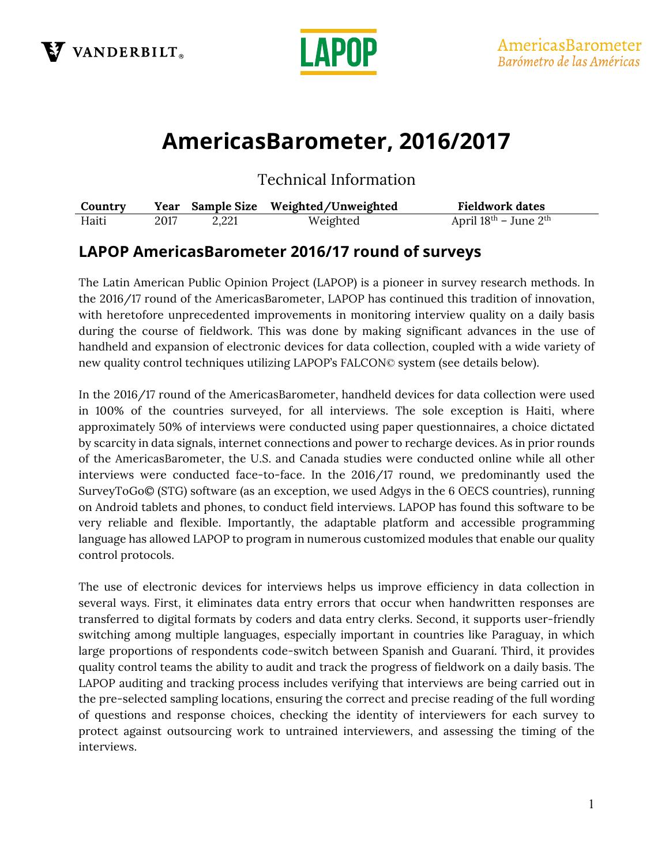



# **AmericasBarometer, 2016/2017**

Technical Information

| Country |      |       | Year Sample Size Weighted/Unweighted | <b>Fieldwork dates</b>    |
|---------|------|-------|--------------------------------------|---------------------------|
| Haiti   | 2017 | 2,221 | Weighted                             | April $18th$ – June $2th$ |

## **LAPOP AmericasBarometer 2016/17 round of surveys**

The Latin American Public Opinion Project (LAPOP) is a pioneer in survey research methods. In the 2016/17 round of the AmericasBarometer, LAPOP has continued this tradition of innovation, with heretofore unprecedented improvements in monitoring interview quality on a daily basis during the course of fieldwork. This was done by making significant advances in the use of handheld and expansion of electronic devices for data collection, coupled with a wide variety of new quality control techniques utilizing LAPOP's FALCON© system (see details below).

In the 2016/17 round of the AmericasBarometer, handheld devices for data collection were used in 100% of the countries surveyed, for all interviews. The sole exception is Haiti, where approximately 50% of interviews were conducted using paper questionnaires, a choice dictated by scarcity in data signals, internet connections and power to recharge devices. As in prior rounds of the AmericasBarometer, the U.S. and Canada studies were conducted online while all other interviews were conducted face-to-face. In the 2016/17 round, we predominantly used the SurveyToGo© (STG) software (as an exception, we used Adgys in the 6 OECS countries), running on Android tablets and phones, to conduct field interviews. LAPOP has found this software to be very reliable and flexible. Importantly, the adaptable platform and accessible programming language has allowed LAPOP to program in numerous customized modules that enable our quality control protocols.

The use of electronic devices for interviews helps us improve efficiency in data collection in several ways. First, it eliminates data entry errors that occur when handwritten responses are transferred to digital formats by coders and data entry clerks. Second, it supports user-friendly switching among multiple languages, especially important in countries like Paraguay, in which large proportions of respondents code-switch between Spanish and Guaraní. Third, it provides quality control teams the ability to audit and track the progress of fieldwork on a daily basis. The LAPOP auditing and tracking process includes verifying that interviews are being carried out in the pre-selected sampling locations, ensuring the correct and precise reading of the full wording of questions and response choices, checking the identity of interviewers for each survey to protect against outsourcing work to untrained interviewers, and assessing the timing of the interviews.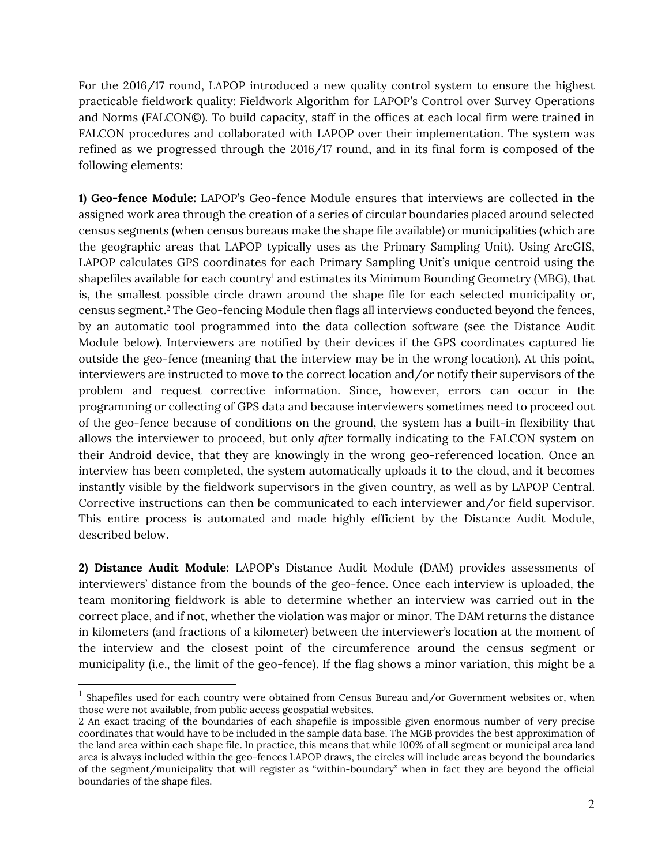For the 2016/17 round, LAPOP introduced a new quality control system to ensure the highest practicable fieldwork quality: Fieldwork Algorithm for LAPOP's Control over Survey Operations and Norms (FALCON©). To build capacity, staff in the offices at each local firm were trained in FALCON procedures and collaborated with LAPOP over their implementation. The system was refined as we progressed through the 2016/17 round, and in its final form is composed of the following elements:

**1) Geo-fence Module:** LAPOP's Geo-fence Module ensures that interviews are collected in the assigned work area through the creation of a series of circular boundaries placed around selected census segments (when census bureaus make the shape file available) or municipalities (which are the geographic areas that LAPOP typically uses as the Primary Sampling Unit). Using ArcGIS, LAPOP calculates GPS coordinates for each Primary Sampling Unit's unique centroid using the shapefiles available for each country<sup>1</sup> and estimates its Minimum Bounding Geometry (MBG), that is, the smallest possible circle drawn around the shape file for each selected municipality or, census segment.2 The Geo-fencing Module then flags all interviews conducted beyond the fences, by an automatic tool programmed into the data collection software (see the Distance Audit Module below). Interviewers are notified by their devices if the GPS coordinates captured lie outside the geo-fence (meaning that the interview may be in the wrong location). At this point, interviewers are instructed to move to the correct location and/or notify their supervisors of the problem and request corrective information. Since, however, errors can occur in the programming or collecting of GPS data and because interviewers sometimes need to proceed out of the geo-fence because of conditions on the ground, the system has a built-in flexibility that allows the interviewer to proceed, but only *after* formally indicating to the FALCON system on their Android device, that they are knowingly in the wrong geo-referenced location. Once an interview has been completed, the system automatically uploads it to the cloud, and it becomes instantly visible by the fieldwork supervisors in the given country, as well as by LAPOP Central. Corrective instructions can then be communicated to each interviewer and/or field supervisor. This entire process is automated and made highly efficient by the Distance Audit Module, described below.

**2) Distance Audit Module:** LAPOP's Distance Audit Module (DAM) provides assessments of interviewers' distance from the bounds of the geo-fence. Once each interview is uploaded, the team monitoring fieldwork is able to determine whether an interview was carried out in the correct place, and if not, whether the violation was major or minor. The DAM returns the distance in kilometers (and fractions of a kilometer) between the interviewer's location at the moment of the interview and the closest point of the circumference around the census segment or municipality (i.e., the limit of the geo-fence). If the flag shows a minor variation, this might be a

<u> 1989 - Johann Barn, mars eta bat erroman erroman erroman erroman erroman erroman erroman erroman erroman err</u>

<sup>&</sup>lt;sup>1</sup> Shapefiles used for each country were obtained from Census Bureau and/or Government websites or, when those were not available, from public access geospatial websites.

<sup>2</sup> An exact tracing of the boundaries of each shapefile is impossible given enormous number of very precise coordinates that would have to be included in the sample data base. The MGB provides the best approximation of the land area within each shape file. In practice, this means that while 100% of all segment or municipal area land area is always included within the geo-fences LAPOP draws, the circles will include areas beyond the boundaries of the segment/municipality that will register as "within-boundary" when in fact they are beyond the official boundaries of the shape files.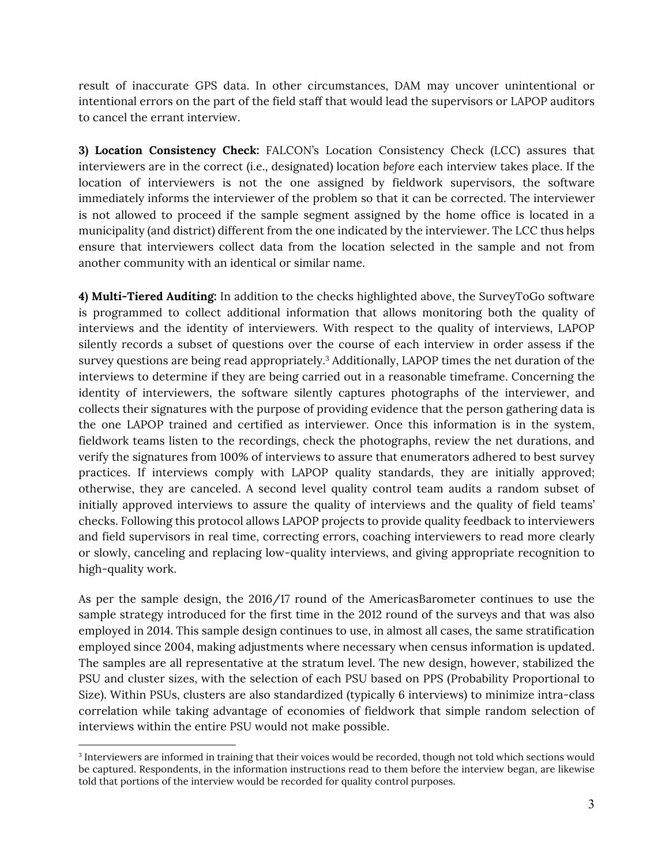result of inaccurate GPS data. In other circumstances, DAM may uncover unintentional or intentional errors on the part of the field staff that would lead the supervisors or LAPOP auditors to cancel the errant interview.

**3) Location Consistency Check:** FALCON's Location Consistency Check (LCC) assures that interviewers are in the correct (i.e., designated) location *before* each interview takes place. If the location of interviewers is not the one assigned by fieldwork supervisors, the software immediately informs the interviewer of the problem so that it can be corrected. The interviewer is not allowed to proceed if the sample segment assigned by the home office is located in a municipality (and district) different from the one indicated by the interviewer. The LCC thus helps ensure that interviewers collect data from the location selected in the sample and not from another community with an identical or similar name.

**4) Multi-Tiered Auditing:** In addition to the checks highlighted above, the SurveyToGo software is programmed to collect additional information that allows monitoring both the quality of interviews and the identity of interviewers. With respect to the quality of interviews, LAPOP silently records a subset of questions over the course of each interview in order assess if the survey questions are being read appropriately.<sup>3</sup> Additionally, LAPOP times the net duration of the interviews to determine if they are being carried out in a reasonable timeframe. Concerning the identity of interviewers, the software silently captures photographs of the interviewer, and collects their signatures with the purpose of providing evidence that the person gathering data is the one LAPOP trained and certified as interviewer. Once this information is in the system, fieldwork teams listen to the recordings, check the photographs, review the net durations, and verify the signatures from 100% of interviews to assure that enumerators adhered to best survey practices. If interviews comply with LAPOP quality standards, they are initially approved; otherwise, they are canceled. A second level quality control team audits a random subset of initially approved interviews to assure the quality of interviews and the quality of field teams' checks. Following this protocol allows LAPOP projects to provide quality feedback to interviewers and field supervisors in real time, correcting errors, coaching interviewers to read more clearly or slowly, canceling and replacing low-quality interviews, and giving appropriate recognition to high-quality work.

As per the sample design, the 2016/17 round of the AmericasBarometer continues to use the sample strategy introduced for the first time in the 2012 round of the surveys and that was also employed in 2014. This sample design continues to use, in almost all cases, the same stratification employed since 2004, making adjustments where necessary when census information is updated. The samples are all representative at the stratum level. The new design, however, stabilized the PSU and cluster sizes, with the selection of each PSU based on PPS (Probability Proportional to Size). Within PSUs, clusters are also standardized (typically 6 interviews) to minimize intra-class correlation while taking advantage of economies of fieldwork that simple random selection of interviews within the entire PSU would not make possible.

 

<sup>&</sup>lt;sup>3</sup> Interviewers are informed in training that their voices would be recorded, though not told which sections would be captured. Respondents, in the information instructions read to them before the interview began, are likewise told that portions of the interview would be recorded for quality control purposes.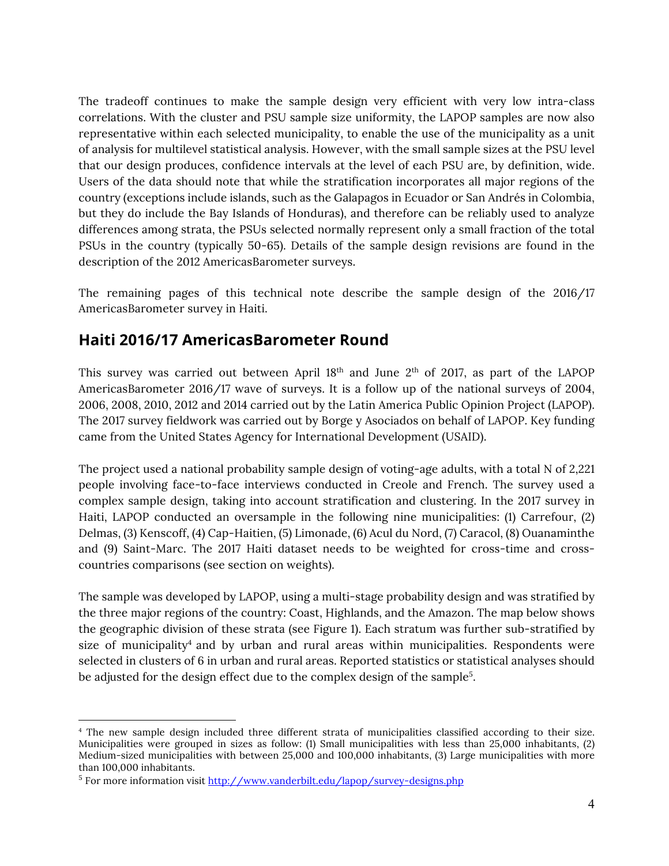The tradeoff continues to make the sample design very efficient with very low intra-class correlations. With the cluster and PSU sample size uniformity, the LAPOP samples are now also representative within each selected municipality, to enable the use of the municipality as a unit of analysis for multilevel statistical analysis. However, with the small sample sizes at the PSU level that our design produces, confidence intervals at the level of each PSU are, by definition, wide. Users of the data should note that while the stratification incorporates all major regions of the country (exceptions include islands, such as the Galapagos in Ecuador or San Andrés in Colombia, but they do include the Bay Islands of Honduras), and therefore can be reliably used to analyze differences among strata, the PSUs selected normally represent only a small fraction of the total PSUs in the country (typically 50-65). Details of the sample design revisions are found in the description of the 2012 AmericasBarometer surveys.

The remaining pages of this technical note describe the sample design of the 2016/17 AmericasBarometer survey in Haiti.

### **Haiti 2016/17 AmericasBarometer Round**

This survey was carried out between April  $18<sup>th</sup>$  and June  $2<sup>th</sup>$  of 2017, as part of the LAPOP AmericasBarometer 2016/17 wave of surveys. It is a follow up of the national surveys of 2004, 2006, 2008, 2010, 2012 and 2014 carried out by the Latin America Public Opinion Project (LAPOP). The 2017 survey fieldwork was carried out by Borge y Asociados on behalf of LAPOP. Key funding came from the United States Agency for International Development (USAID).

The project used a national probability sample design of voting-age adults, with a total N of 2,221 people involving face-to-face interviews conducted in Creole and French. The survey used a complex sample design, taking into account stratification and clustering. In the 2017 survey in Haiti, LAPOP conducted an oversample in the following nine municipalities: (1) Carrefour, (2) Delmas, (3) Kenscoff, (4) Cap-Haitien, (5) Limonade, (6) Acul du Nord, (7) Caracol, (8) Ouanaminthe and (9) Saint-Marc. The 2017 Haiti dataset needs to be weighted for cross-time and crosscountries comparisons (see section on weights).

The sample was developed by LAPOP, using a multi-stage probability design and was stratified by the three major regions of the country: Coast, Highlands, and the Amazon. The map below shows the geographic division of these strata (see Figure 1). Each stratum was further sub-stratified by size of municipality<sup>4</sup> and by urban and rural areas within municipalities. Respondents were selected in clusters of 6 in urban and rural areas. Reported statistics or statistical analyses should be adjusted for the design effect due to the complex design of the sample<sup>5</sup>.

<u> 1989 - Johann Barn, mars eta bat erroman erroman erroman erroman erroman erroman erroman erroman erroman err</u>

<sup>4</sup> The new sample design included three different strata of municipalities classified according to their size. Municipalities were grouped in sizes as follow: (1) Small municipalities with less than 25,000 inhabitants, (2) Medium-sized municipalities with between 25,000 and 100,000 inhabitants, (3) Large municipalities with more than 100,000 inhabitants.

<sup>5</sup> For more information visit http://www.vanderbilt.edu/lapop/survey-designs.php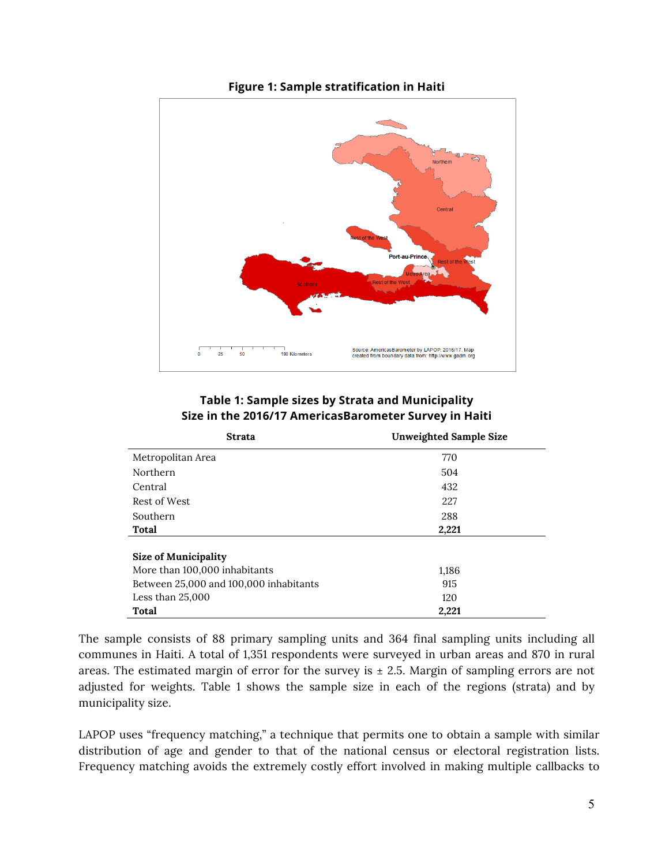

#### **Figure 1: Sample stratification in Haiti**

#### **Table 1: Sample sizes by Strata and Municipality Size in the 2016/17 AmericasBarometer Survey in Haiti**

| <b>Strata</b>                          | <b>Unweighted Sample Size</b> |  |
|----------------------------------------|-------------------------------|--|
| Metropolitan Area                      | 770                           |  |
| <b>Northern</b>                        | 504                           |  |
| Central                                | 432                           |  |
| Rest of West                           | 227                           |  |
| Southern                               | 288                           |  |
| Total                                  | 2,221                         |  |
| <b>Size of Municipality</b>            |                               |  |
| More than 100,000 inhabitants          | 1,186                         |  |
| Between 25,000 and 100,000 inhabitants | 915                           |  |
| Less than $25,000$                     | 120                           |  |
| <b>Total</b>                           | 2,221                         |  |

The sample consists of 88 primary sampling units and 364 final sampling units including all communes in Haiti. A total of 1,351 respondents were surveyed in urban areas and 870 in rural areas. The estimated margin of error for the survey is  $\pm$  2.5. Margin of sampling errors are not adjusted for weights. Table 1 shows the sample size in each of the regions (strata) and by municipality size.

LAPOP uses "frequency matching," a technique that permits one to obtain a sample with similar distribution of age and gender to that of the national census or electoral registration lists. Frequency matching avoids the extremely costly effort involved in making multiple callbacks to